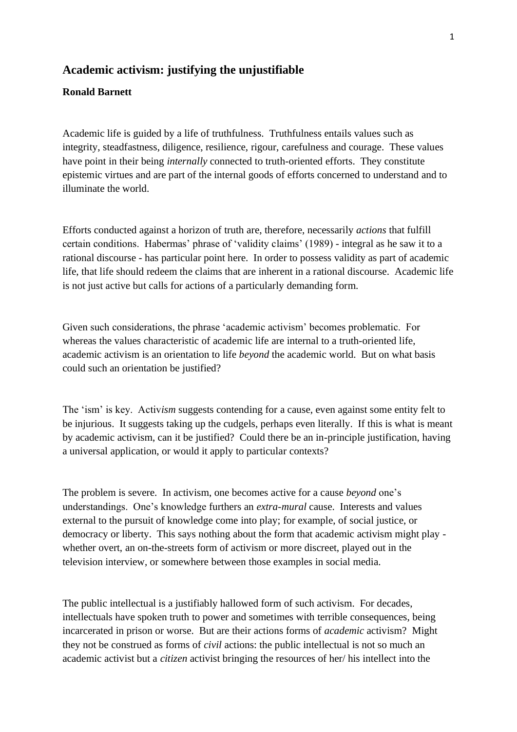## **Academic activism: justifying the unjustifiable**

## **Ronald Barnett**

Academic life is guided by a life of truthfulness. Truthfulness entails values such as integrity, steadfastness, diligence, resilience, rigour, carefulness and courage. These values have point in their being *internally* connected to truth-oriented efforts. They constitute epistemic virtues and are part of the internal goods of efforts concerned to understand and to illuminate the world.

Efforts conducted against a horizon of truth are, therefore, necessarily *actions* that fulfill certain conditions. Habermas' phrase of 'validity claims' (1989) - integral as he saw it to a rational discourse - has particular point here. In order to possess validity as part of academic life, that life should redeem the claims that are inherent in a rational discourse. Academic life is not just active but calls for actions of a particularly demanding form.

Given such considerations, the phrase 'academic activism' becomes problematic. For whereas the values characteristic of academic life are internal to a truth-oriented life, academic activism is an orientation to life *beyond* the academic world. But on what basis could such an orientation be justified?

The 'ism' is key. Activ*ism* suggests contending for a cause, even against some entity felt to be injurious. It suggests taking up the cudgels, perhaps even literally. If this is what is meant by academic activism, can it be justified? Could there be an in-principle justification, having a universal application, or would it apply to particular contexts?

The problem is severe. In activism, one becomes active for a cause *beyond* one's understandings. One's knowledge furthers an *extra-mural* cause. Interests and values external to the pursuit of knowledge come into play; for example, of social justice, or democracy or liberty. This says nothing about the form that academic activism might play whether overt, an on-the-streets form of activism or more discreet, played out in the television interview, or somewhere between those examples in social media.

The public intellectual is a justifiably hallowed form of such activism. For decades, intellectuals have spoken truth to power and sometimes with terrible consequences, being incarcerated in prison or worse. But are their actions forms of *academic* activism? Might they not be construed as forms of *civil* actions: the public intellectual is not so much an academic activist but a *citizen* activist bringing the resources of her/ his intellect into the